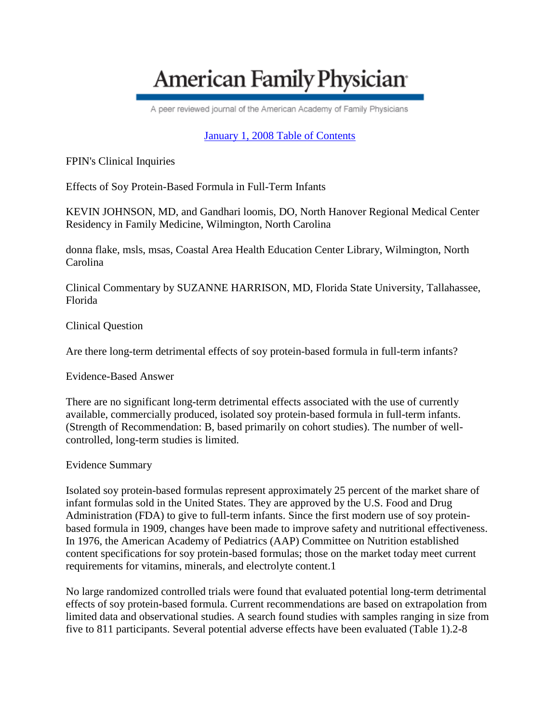# **American Family Physician**

A peer reviewed journal of the American Academy of Family Physicians

## [January 1, 2008 Table of Contents](http://www.aafp.org/afp/20080101/)

FPIN's Clinical Inquiries

Effects of Soy Protein-Based Formula in Full-Term Infants

KEVIN JOHNSON, MD, and Gandhari loomis, DO, North Hanover Regional Medical Center Residency in Family Medicine, Wilmington, North Carolina

donna flake, msls, msas, Coastal Area Health Education Center Library, Wilmington, North Carolina

Clinical Commentary by SUZANNE HARRISON, MD, Florida State University, Tallahassee, Florida

Clinical Question

Are there long-term detrimental effects of soy protein-based formula in full-term infants?

Evidence-Based Answer

There are no significant long-term detrimental effects associated with the use of currently available, commercially produced, isolated soy protein-based formula in full-term infants. (Strength of Recommendation: B, based primarily on cohort studies). The number of wellcontrolled, long-term studies is limited.

#### Evidence Summary

Isolated soy protein-based formulas represent approximately 25 percent of the market share of infant formulas sold in the United States. They are approved by the U.S. Food and Drug Administration (FDA) to give to full-term infants. Since the first modern use of soy proteinbased formula in 1909, changes have been made to improve safety and nutritional effectiveness. In 1976, the American Academy of Pediatrics (AAP) Committee on Nutrition established content specifications for soy protein-based formulas; those on the market today meet current requirements for vitamins, minerals, and electrolyte content.1

No large randomized controlled trials were found that evaluated potential long-term detrimental effects of soy protein-based formula. Current recommendations are based on extrapolation from limited data and observational studies. A search found studies with samples ranging in size from five to 811 participants. Several potential adverse effects have been evaluated (Table 1).2-8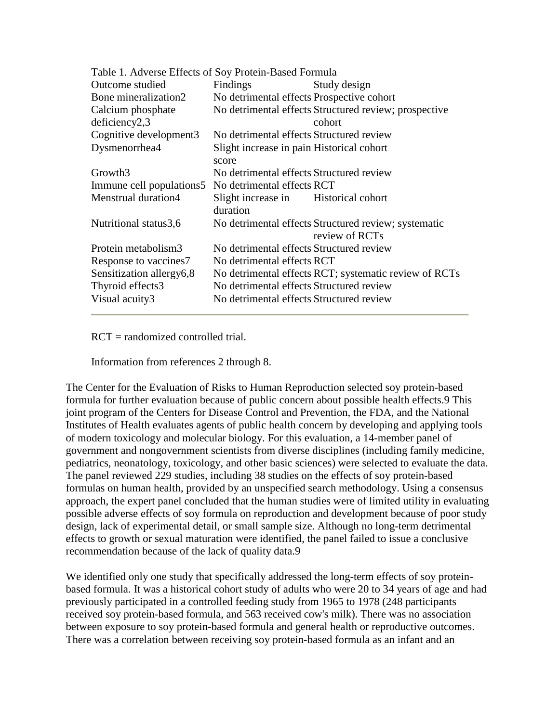| Table 1. Adverse Effects of Soy Protein-Based Formula |                                                                        |
|-------------------------------------------------------|------------------------------------------------------------------------|
| <b>Findings</b>                                       | Study design                                                           |
| No detrimental effects Prospective cohort             |                                                                        |
|                                                       | No detrimental effects Structured review; prospective                  |
|                                                       | cohort                                                                 |
| No detrimental effects Structured review              |                                                                        |
| Slight increase in pain Historical cohort             |                                                                        |
| No detrimental effects Structured review              |                                                                        |
| No detrimental effects RCT                            |                                                                        |
| Slight increase in Historical cohort<br>duration      |                                                                        |
|                                                       | No detrimental effects Structured review; systematic<br>review of RCTs |
| No detrimental effects Structured review              |                                                                        |
| No detrimental effects RCT                            |                                                                        |
|                                                       | No detrimental effects RCT; systematic review of RCTs                  |
| No detrimental effects Structured review              |                                                                        |
| No detrimental effects Structured review              |                                                                        |
|                                                       | score                                                                  |

RCT = randomized controlled trial.

Information from references 2 through 8.

The Center for the Evaluation of Risks to Human Reproduction selected soy protein-based formula for further evaluation because of public concern about possible health effects.9 This joint program of the Centers for Disease Control and Prevention, the FDA, and the National Institutes of Health evaluates agents of public health concern by developing and applying tools of modern toxicology and molecular biology. For this evaluation, a 14-member panel of government and nongovernment scientists from diverse disciplines (including family medicine, pediatrics, neonatology, toxicology, and other basic sciences) were selected to evaluate the data. The panel reviewed 229 studies, including 38 studies on the effects of soy protein-based formulas on human health, provided by an unspecified search methodology. Using a consensus approach, the expert panel concluded that the human studies were of limited utility in evaluating possible adverse effects of soy formula on reproduction and development because of poor study design, lack of experimental detail, or small sample size. Although no long-term detrimental effects to growth or sexual maturation were identified, the panel failed to issue a conclusive recommendation because of the lack of quality data.9

We identified only one study that specifically addressed the long-term effects of soy proteinbased formula. It was a historical cohort study of adults who were 20 to 34 years of age and had previously participated in a controlled feeding study from 1965 to 1978 (248 participants received soy protein-based formula, and 563 received cow's milk). There was no association between exposure to soy protein-based formula and general health or reproductive outcomes. There was a correlation between receiving soy protein-based formula as an infant and an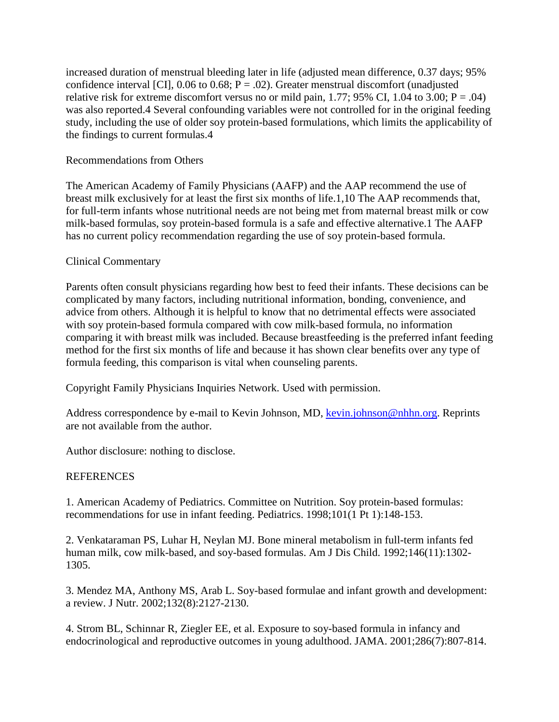increased duration of menstrual bleeding later in life (adjusted mean difference, 0.37 days; 95% confidence interval [CI],  $0.06$  to  $0.68$ ; P = .02). Greater menstrual discomfort (unadjusted relative risk for extreme discomfort versus no or mild pain, 1.77; 95% CI, 1.04 to 3.00;  $P = .04$ ) was also reported.4 Several confounding variables were not controlled for in the original feeding study, including the use of older soy protein-based formulations, which limits the applicability of the findings to current formulas.4

### Recommendations from Others

The American Academy of Family Physicians (AAFP) and the AAP recommend the use of breast milk exclusively for at least the first six months of life.1,10 The AAP recommends that, for full-term infants whose nutritional needs are not being met from maternal breast milk or cow milk-based formulas, soy protein-based formula is a safe and effective alternative.1 The AAFP has no current policy recommendation regarding the use of soy protein-based formula.

### Clinical Commentary

Parents often consult physicians regarding how best to feed their infants. These decisions can be complicated by many factors, including nutritional information, bonding, convenience, and advice from others. Although it is helpful to know that no detrimental effects were associated with soy protein-based formula compared with cow milk-based formula, no information comparing it with breast milk was included. Because breastfeeding is the preferred infant feeding method for the first six months of life and because it has shown clear benefits over any type of formula feeding, this comparison is vital when counseling parents.

Copyright Family Physicians Inquiries Network. Used with permission.

Address correspondence by e-mail to Kevin Johnson, MD[, kevin.johnson@nhhn.org.](mailto:kevin.johnson@nhhn.org) Reprints are not available from the author.

Author disclosure: nothing to disclose.

## **REFERENCES**

1. American Academy of Pediatrics. Committee on Nutrition. Soy protein-based formulas: recommendations for use in infant feeding. Pediatrics. 1998;101(1 Pt 1):148-153.

2. Venkataraman PS, Luhar H, Neylan MJ. Bone mineral metabolism in full-term infants fed human milk, cow milk-based, and soy-based formulas. Am J Dis Child. 1992;146(11):1302- 1305.

3. Mendez MA, Anthony MS, Arab L. Soy-based formulae and infant growth and development: a review. J Nutr. 2002;132(8):2127-2130.

4. Strom BL, Schinnar R, Ziegler EE, et al. Exposure to soy-based formula in infancy and endocrinological and reproductive outcomes in young adulthood. JAMA. 2001;286(7):807-814.